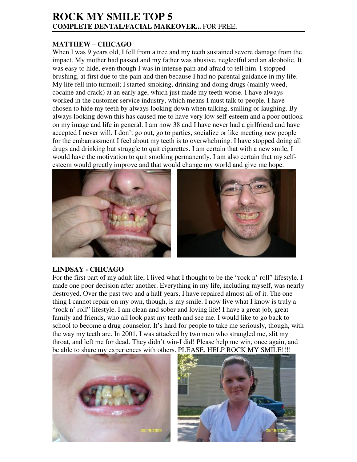## **ROCK MY SMILE TOP 5 COMPLETE DENTAL/FACIAL MAKEOVER...** FOR FREE**.**

## **MATTHEW – CHICAGO**

When I was 9 years old, I fell from a tree and my teeth sustained severe damage from the impact. My mother had passed and my father was abusive, neglectful and an alcoholic. It was easy to hide, even though I was in intense pain and afraid to tell him. I stopped brushing, at first due to the pain and then because I had no parental guidance in my life. My life fell into turmoil; I started smoking, drinking and doing drugs (mainly weed, cocaine and crack) at an early age, which just made my teeth worse. I have always worked in the customer service industry, which means I must talk to people. I have chosen to hide my teeth by always looking down when talking, smiling or laughing. By always looking down this has caused me to have very low self-esteem and a poor outlook on my image and life in general. I am now 38 and I have never had a girlfriend and have accepted I never will. I don't go out, go to parties, socialize or like meeting new people for the embarrassment I feel about my teeth is to overwhelming. I have stopped doing all drugs and drinking but struggle to quit cigarettes. I am certain that with a new smile, I would have the motivation to quit smoking permanently. I am also certain that my selfesteem would greatly improve and that would change my world and give me hope.



## **LINDSAY - CHICAGO**

For the first part of my adult life, I lived what I thought to be the "rock n' roll" lifestyle. I made one poor decision after another. Everything in my life, including myself, was nearly destroyed. Over the past two and a half years, I have repaired almost all of it. The one thing I cannot repair on my own, though, is my smile. I now live what I know is truly a "rock n' roll" lifestyle. I am clean and sober and loving life! I have a great job, great family and friends, who all look past my teeth and see me. I would like to go back to school to become a drug counselor. It's hard for people to take me seriously, though, with the way my teeth are. In 2001, I was attacked by two men who strangled me, slit my throat, and left me for dead. They didn't win-I did! Please help me win, once again, and be able to share my experiences with others. PLEASE, HELP ROCK MY SMILE!!!!